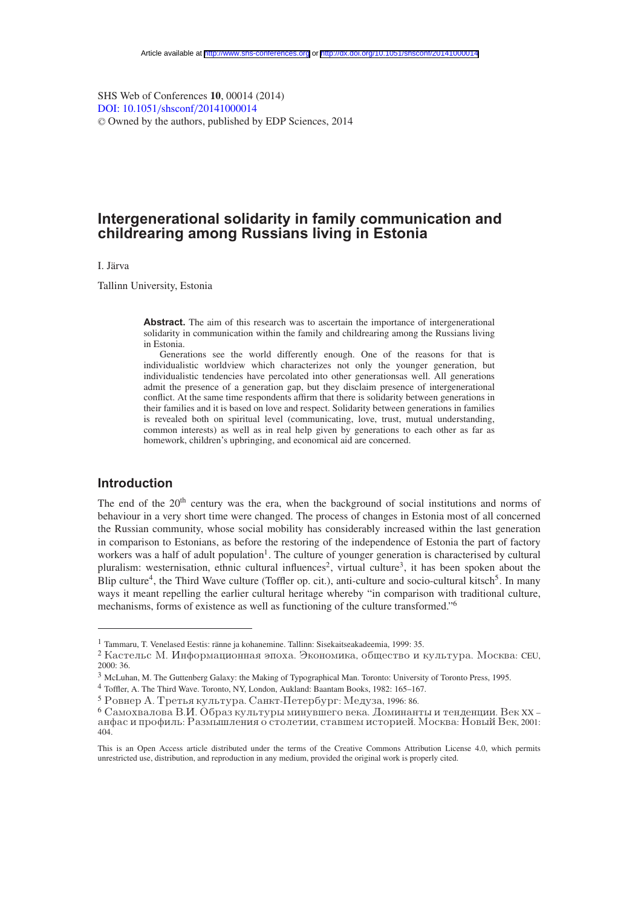SHS Web of Conferences **10**, 00014 (2014) [DOI: 10.1051](http://dx.doi.org/10.1051/shsconf/20141000014)/shsconf/20141000014 <sup>C</sup> Owned by the authors, published by EDP Sciences, 2014

# **Intergenerational solidarity in family communication and childrearing among Russians living in Estonia**

I. Järva

Tallinn University, Estonia

Abstract. The aim of this research was to ascertain the importance of intergenerational solidarity in communication within the family and childrearing among the Russians living in Estonia.

Generations see the world differently enough. One of the reasons for that is individualistic worldview which characterizes not only the younger generation, but individualistic tendencies have percolated into other generationsas well. All generations admit the presence of a generation gap, but they disclaim presence of intergenerational conflict. At the same time respondents affirm that there is solidarity between generations in their families and it is based on love and respect. Solidarity between generations in families is revealed both on spiritual level (communicating, love, trust, mutual understanding, common interests) as well as in real help given by generations to each other as far as homework, children's upbringing, and economical aid are concerned.

# **Introduction**

The end of the 20<sup>th</sup> century was the era, when the background of social institutions and norms of behaviour in a very short time were changed. The process of changes in Estonia most of all concerned the Russian community, whose social mobility has considerably increased within the last generation in comparison to Estonians, as before the restoring of the independence of Estonia the part of factory workers was a half of adult population<sup>1</sup>. The culture of younger generation is characterised by cultural pluralism: westernisation, ethnic cultural influences<sup>2</sup>, virtual culture<sup>3</sup>, it has been spoken about the Blip culture<sup>4</sup>, the Third Wave culture (Toffler op. cit.), anti-culture and socio-cultural kitsch<sup>5</sup>. In many ways it meant repelling the earlier cultural heritage whereby "in comparison with traditional culture, mechanisms, forms of existence as well as functioning of the culture transformed."6

<sup>1</sup> Tammaru, T. Venelased Eestis: ränne ja kohanemine. Tallinn: Sisekaitseakadeemia, 1999: 35.

<sup>&</sup>lt;sup>2</sup> Кастельс М. Информационная эпоха. Экономика, общество и культура. Москва: СЕU, 2000: 36.

<sup>3</sup> McLuhan, M. The Guttenberg Galaxy: the Making of Typographical Man. Toronto: University of Toronto Press, 1995.

<sup>4</sup> Toffler, A. The Third Wave. Toronto, NY, London, Aukland: Baantam Books, 1982: 165–167.

 $5$  Ровнер А. Третья культура. Санкт-Петербург: Медуза, 1996: 86.

 $6$  Самохвалова В.И. Образ культуры минувшего века. Доминанты и тенденции. Век XX – анфас и профиль: Размышления о столетии, ставшем историей. Москва: Новый Век, 2001: 404.

This is an Open Access article distributed under the terms of the Creative Commons Attribution License 4.0, which permits unrestricted use, distribution, and reproduction in any medium, provided the original work is properly cited.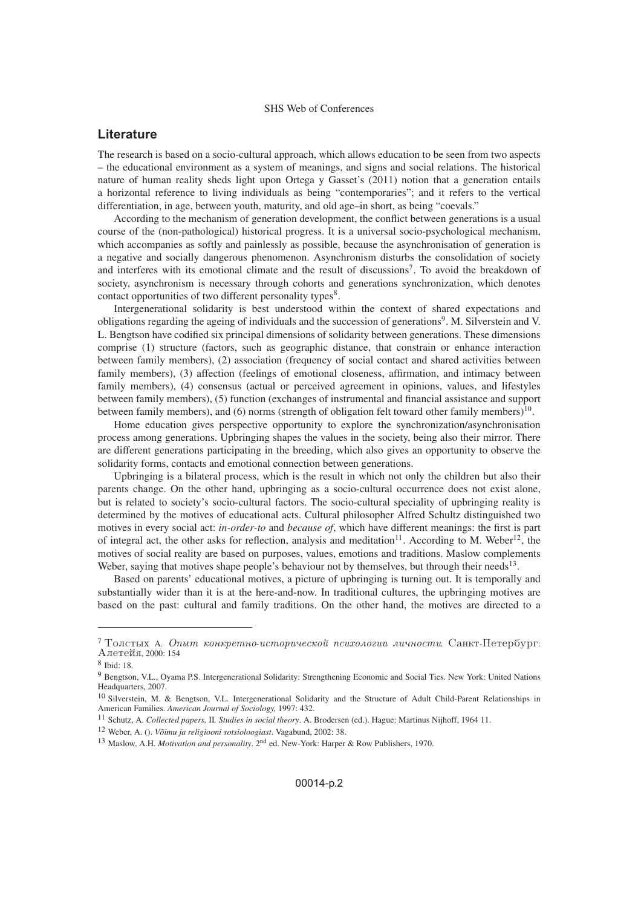# <span id="page-1-0"></span>**Literature**

The research is based on a socio-cultural approach, which allows education to be seen from two aspects – the educational environment as a system of meanings, and signs and social relations. The historical nature of human reality sheds light upon Ortega y Gasset's (2011) notion that a generation entails a horizontal reference to living individuals as being "contemporaries"; and it refers to the vertical differentiation, in age, between youth, maturity, and old age–in short, as being "coevals."

According to the mechanism of generation development, the conflict between generations is a usual course of the (non-pathological) historical progress. It is a universal socio-psychological mechanism, which accompanies as softly and painlessly as possible, because the asynchronisation of generation is a negative and socially dangerous phenomenon. Asynchronism disturbs the consolidation of society and interferes with its emotional climate and the result of discussions<sup>7</sup>. To avoid the breakdown of society, asynchronism is necessary through cohorts and generations synchronization, which denotes contact opportunities of two different personality types<sup>8</sup>.

Intergenerational solidarity is best understood within the context of shared expectations and obligations regarding the ageing of individuals and the succession of generations9. M. Silverstein and V. L. Bengtson have codified six principal dimensions of solidarity between generations. These dimensions comprise (1) structure (factors, such as geographic distance, that constrain or enhance interaction between family members), (2) association (frequency of social contact and shared activities between family members), (3) affection (feelings of emotional closeness, affirmation, and intimacy between family members), (4) consensus (actual or perceived agreement in opinions, values, and lifestyles between family members), (5) function (exchanges of instrumental and financial assistance and support between family members), and (6) norms (strength of obligation felt toward other family members)<sup>10</sup>.

Home education gives perspective opportunity to explore the synchronization/asynchronisation process among generations. Upbringing shapes the values in the society, being also their mirror. There are different generations participating in the breeding, which also gives an opportunity to observe the solidarity forms, contacts and emotional connection between generations.

Upbringing is a bilateral process, which is the result in which not only the children but also their parents change. On the other hand, upbringing as a socio-cultural occurrence does not exist alone, but is related to society's socio-cultural factors. The socio-cultural speciality of upbringing reality is determined by the motives of educational acts. Cultural philosopher Alfred Schultz distinguished two motives in every social act: *in-order-to* and *because of*, which have different meanings: the first is part of integral act, the other asks for reflection, analysis and meditation<sup>11</sup>. According to M. Weber<sup>12</sup>, the motives of social reality are based on purposes, values, emotions and traditions. Maslow complements Weber, saying that motives shape people's behaviour not by themselves, but through their needs $13$ .

Based on parents' educational motives, a picture of upbringing is turning out. It is temporally and substantially wider than it is at the here-and-now. In traditional cultures, the upbringing motives are based on the past: cultural and family traditions. On the other hand, the motives are directed to a

 $7$ Толстых А. Опыт конкретно-исторической психологии личности. Санкт-Петербург: Алетейя, 2000: 154

<sup>8</sup> Ibid: 18.

<sup>9</sup> Bengtson, V.L., Oyama P.S. Intergenerational Solidarity: Strengthening Economic and Social Ties. New York: United Nations Headquarters, 2007.

<sup>10</sup> Silverstein, M. & Bengtson, V.L. Intergenerational Solidarity and the Structure of Adult Child-Parent Relationships in American Families. *American Journal of Sociology,* 1997: 432.

<sup>11</sup> Schutz, A. *Collected papers,* II*. Studies in social theory*. A. Brodersen (ed.). Hague: Martinus Nijhoff, 1964 11.

<sup>12</sup> Weber, A. (). *Võimu ja religiooni sotsioloogiast*. Vagabund, 2002: 38.

<sup>&</sup>lt;sup>13</sup> Maslow, A.H. *Motivation and personality*. 2<sup>nd</sup> ed. New-York: Harper & Row Publishers, 1970.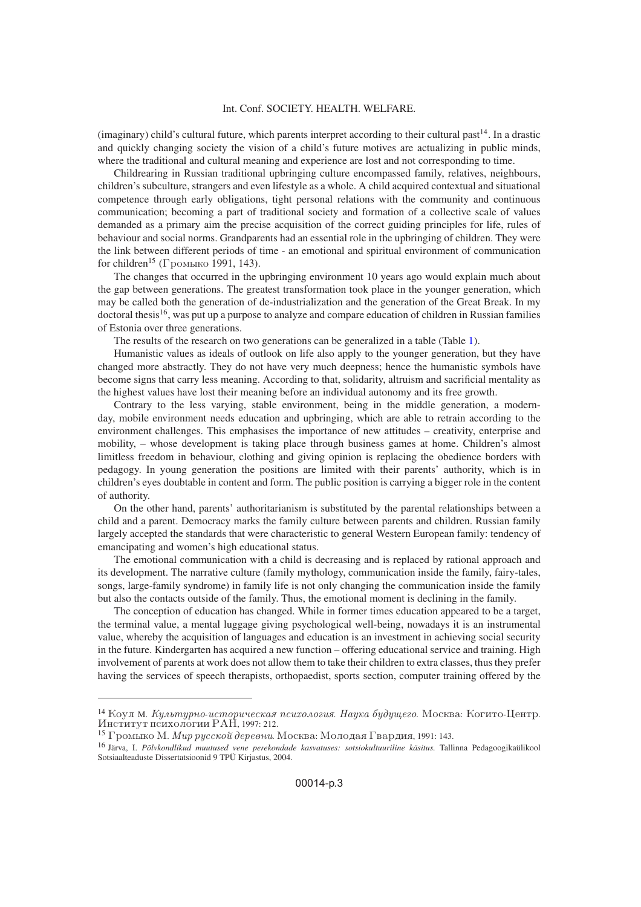(imaginary) child's cultural future, which parents interpret according to their cultural past $^{14}$ . In a drastic and quickly changing society the vision of a child's future motives are actualizing in public minds, where the traditional and cultural meaning and experience are lost and not corresponding to time.

Childrearing in Russian traditional upbringing culture encompassed family, relatives, neighbours, children's subculture, strangers and even lifestyle as a whole. A child acquired contextual and situational competence through early obligations, tight personal relations with the community and continuous communication; becoming a part of traditional society and formation of a collective scale of values demanded as a primary aim the precise acquisition of the correct guiding principles for life, rules of behaviour and social norms. Grandparents had an essential role in the upbringing of children. They were the link between different periods of time - an emotional and spiritual environment of communication for children<sup>15</sup> (Громыко 1991, 143).

The changes that occurred in the upbringing environment 10 years ago would explain much about the gap between generations. The greatest transformation took place in the younger generation, which may be called both the generation of de-industrialization and the generation of the Great Break. In my doctoral thesis<sup>16</sup>, was put up a purpose to analyze and compare education of children in Russian families of Estonia over three generations.

The results of the research on two generations can be generalized in a table (Table [1\)](#page-1-0).

Humanistic values as ideals of outlook on life also apply to the younger generation, but they have changed more abstractly. They do not have very much deepness; hence the humanistic symbols have become signs that carry less meaning. According to that, solidarity, altruism and sacrificial mentality as the highest values have lost their meaning before an individual autonomy and its free growth.

Contrary to the less varying, stable environment, being in the middle generation, a modernday, mobile environment needs education and upbringing, which are able to retrain according to the environment challenges. This emphasises the importance of new attitudes – creativity, enterprise and mobility, – whose development is taking place through business games at home. Children's almost limitless freedom in behaviour, clothing and giving opinion is replacing the obedience borders with pedagogy. In young generation the positions are limited with their parents' authority, which is in children's eyes doubtable in content and form. The public position is carrying a bigger role in the content of authority.

On the other hand, parents' authoritarianism is substituted by the parental relationships between a child and a parent. Democracy marks the family culture between parents and children. Russian family largely accepted the standards that were characteristic to general Western European family: tendency of emancipating and women's high educational status.

The emotional communication with a child is decreasing and is replaced by rational approach and its development. The narrative culture (family mythology, communication inside the family, fairy-tales, songs, large-family syndrome) in family life is not only changing the communication inside the family but also the contacts outside of the family. Thus, the emotional moment is declining in the family.

The conception of education has changed. While in former times education appeared to be a target, the terminal value, a mental luggage giving psychological well-being, nowadays it is an instrumental value, whereby the acquisition of languages and education is an investment in achieving social security in the future. Kindergarten has acquired a new function – offering educational service and training. High involvement of parents at work does not allow them to take their children to extra classes, thus they prefer having the services of speech therapists, orthopaedist, sports section, computer training offered by the

<sup>&</sup>lt;sup>14</sup> Коул м. *Культурно-историческая психология. Наука будущего*. Москва: Когито-Центр. Институт психологии РАН, 1997: 212.

<sup>&</sup>lt;sup>15</sup> Громыко М. *Мир русской деревни*. Москва: Молодая Гвардия, 1991: 143.

<sup>16</sup> Järva, I. *Põlvkondlikud muutused vene perekondade kasvatuses: sotsiokultuuriline käsitus.* Tallinna Pedagoogikaülikool Sotsiaalteaduste Dissertatsioonid 9 TPÜ Kirjastus, 2004.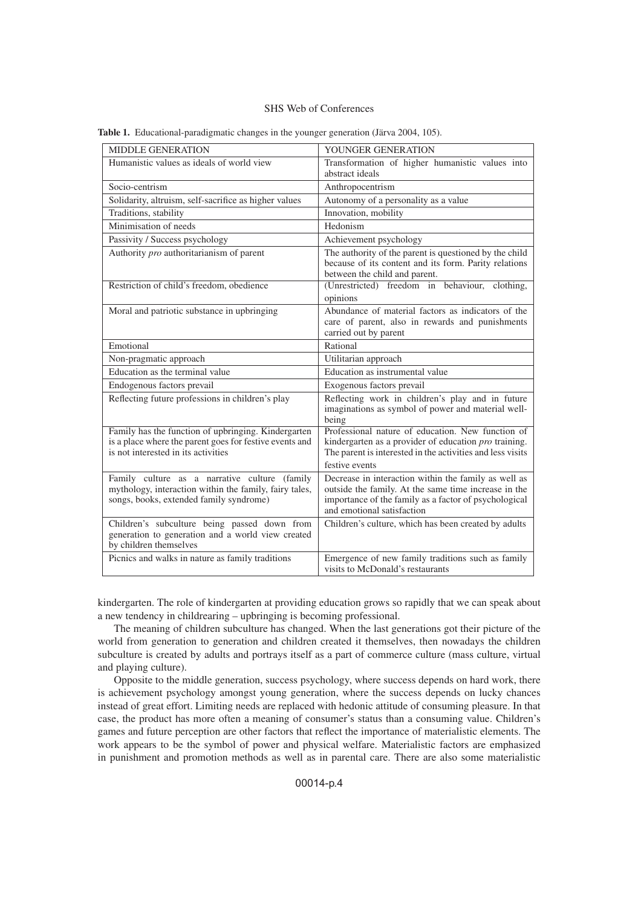| <b>MIDDLE GENERATION</b>                                                                                                                              | YOUNGER GENERATION                                                                                                                                                                                  |
|-------------------------------------------------------------------------------------------------------------------------------------------------------|-----------------------------------------------------------------------------------------------------------------------------------------------------------------------------------------------------|
| Humanistic values as ideals of world view                                                                                                             | Transformation of higher humanistic values into<br>abstract ideals                                                                                                                                  |
| Socio-centrism                                                                                                                                        | Anthropocentrism                                                                                                                                                                                    |
| Solidarity, altruism, self-sacrifice as higher values                                                                                                 | Autonomy of a personality as a value                                                                                                                                                                |
| Traditions, stability                                                                                                                                 | Innovation, mobility                                                                                                                                                                                |
| Minimisation of needs                                                                                                                                 | Hedonism                                                                                                                                                                                            |
| Passivity / Success psychology                                                                                                                        | Achievement psychology                                                                                                                                                                              |
| Authority pro authoritarianism of parent                                                                                                              | The authority of the parent is questioned by the child<br>because of its content and its form. Parity relations<br>between the child and parent.                                                    |
| Restriction of child's freedom, obedience                                                                                                             | (Unrestricted) freedom in behaviour, clothing,                                                                                                                                                      |
|                                                                                                                                                       | opinions                                                                                                                                                                                            |
| Moral and patriotic substance in upbringing                                                                                                           | Abundance of material factors as indicators of the<br>care of parent, also in rewards and punishments<br>carried out by parent                                                                      |
| Emotional                                                                                                                                             | Rational                                                                                                                                                                                            |
| Non-pragmatic approach                                                                                                                                | Utilitarian approach                                                                                                                                                                                |
| Education as the terminal value                                                                                                                       | Education as instrumental value                                                                                                                                                                     |
| Endogenous factors prevail                                                                                                                            | Exogenous factors prevail                                                                                                                                                                           |
| Reflecting future professions in children's play                                                                                                      | Reflecting work in children's play and in future<br>imaginations as symbol of power and material well-<br>being                                                                                     |
| Family has the function of upbringing. Kindergarten<br>is a place where the parent goes for festive events and<br>is not interested in its activities | Professional nature of education. New function of<br>kindergarten as a provider of education <i>pro</i> training.<br>The parent is interested in the activities and less visits<br>festive events   |
| Family culture as a narrative culture (family<br>mythology, interaction within the family, fairy tales,<br>songs, books, extended family syndrome)    | Decrease in interaction within the family as well as<br>outside the family. At the same time increase in the<br>importance of the family as a factor of psychological<br>and emotional satisfaction |
| Children's subculture being passed down from<br>generation to generation and a world view created<br>by children themselves                           | Children's culture, which has been created by adults                                                                                                                                                |
| Picnics and walks in nature as family traditions                                                                                                      | Emergence of new family traditions such as family<br>visits to McDonald's restaurants                                                                                                               |

**Table 1.** Educational-paradigmatic changes in the younger generation (Järva 2004, 105).

kindergarten. The role of kindergarten at providing education grows so rapidly that we can speak about a new tendency in childrearing – upbringing is becoming professional.

The meaning of children subculture has changed. When the last generations got their picture of the world from generation to generation and children created it themselves, then nowadays the children subculture is created by adults and portrays itself as a part of commerce culture (mass culture, virtual and playing culture).

Opposite to the middle generation, success psychology, where success depends on hard work, there is achievement psychology amongst young generation, where the success depends on lucky chances instead of great effort. Limiting needs are replaced with hedonic attitude of consuming pleasure. In that case, the product has more often a meaning of consumer's status than a consuming value. Children's games and future perception are other factors that reflect the importance of materialistic elements. The work appears to be the symbol of power and physical welfare. Materialistic factors are emphasized in punishment and promotion methods as well as in parental care. There are also some materialistic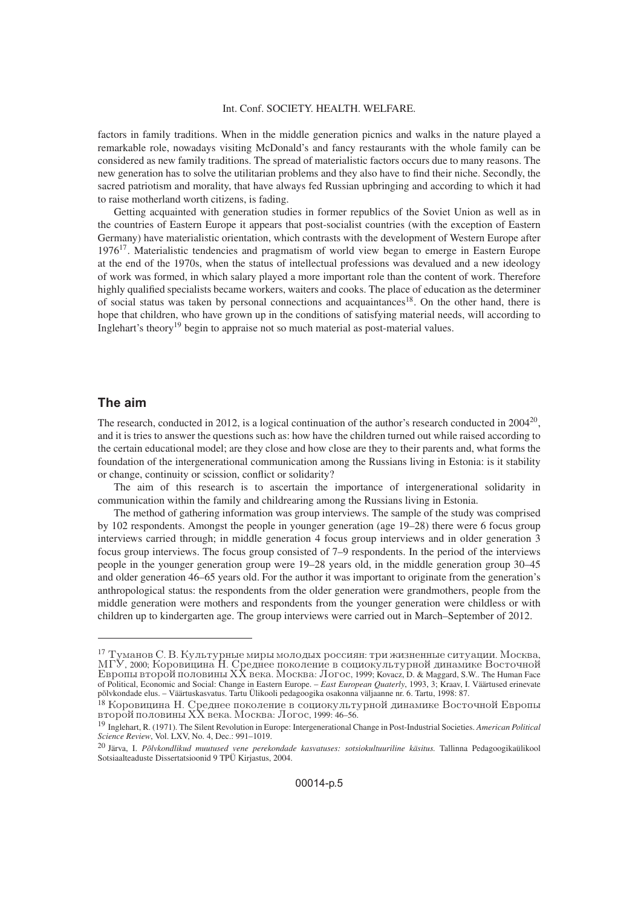factors in family traditions. When in the middle generation picnics and walks in the nature played a remarkable role, nowadays visiting McDonald's and fancy restaurants with the whole family can be considered as new family traditions. The spread of materialistic factors occurs due to many reasons. The new generation has to solve the utilitarian problems and they also have to find their niche. Secondly, the sacred patriotism and morality, that have always fed Russian upbringing and according to which it had to raise motherland worth citizens, is fading.

Getting acquainted with generation studies in former republics of the Soviet Union as well as in the countries of Eastern Europe it appears that post-socialist countries (with the exception of Eastern Germany) have materialistic orientation, which contrasts with the development of Western Europe after 1976<sup>17</sup>. Materialistic tendencies and pragmatism of world view began to emerge in Eastern Europe at the end of the 1970s, when the status of intellectual professions was devalued and a new ideology of work was formed, in which salary played a more important role than the content of work. Therefore highly qualified specialists became workers, waiters and cooks. The place of education as the determiner of social status was taken by personal connections and acquaintances<sup>18</sup>. On the other hand, there is hope that children, who have grown up in the conditions of satisfying material needs, will according to Inglehart's theory<sup>19</sup> begin to appraise not so much material as post-material values.

# **The aim**

The research, conducted in 2012, is a logical continuation of the author's research conducted in  $2004^{20}$ , and it is tries to answer the questions such as: how have the children turned out while raised according to the certain educational model; are they close and how close are they to their parents and, what forms the foundation of the intergenerational communication among the Russians living in Estonia: is it stability or change, continuity or scission, conflict or solidarity?

The aim of this research is to ascertain the importance of intergenerational solidarity in communication within the family and childrearing among the Russians living in Estonia.

The method of gathering information was group interviews. The sample of the study was comprised by 102 respondents. Amongst the people in younger generation (age 19–28) there were 6 focus group interviews carried through; in middle generation 4 focus group interviews and in older generation 3 focus group interviews. The focus group consisted of 7–9 respondents. In the period of the interviews people in the younger generation group were 19–28 years old, in the middle generation group 30–45 and older generation 46–65 years old. For the author it was important to originate from the generation's anthropological status: the respondents from the older generation were grandmothers, people from the middle generation were mothers and respondents from the younger generation were childless or with children up to kindergarten age. The group interviews were carried out in March–September of 2012.

<sup>&</sup>lt;sup>17</sup> Туманов С. В. Культурные миры молодых россиян: три жизненные ситуации. Москва, МГУ, 2000; Коровицина Н. Среднее поколение в социокультурной динамике Восточной<br>Европы второй половины XX века. Москва: Логос, 1999; Kovacz, D. & Maggard, S.W.. The Human Face of Political, Economic and Social: Change in Eastern Europe. – *East European Quaterly*, 1993, 3; Kraav, I. Väärtused erinevate põlvkondade elus. – Väärtuskasvatus. Tartu Ülikooli pedagoogika osakonna väljaanne nr. 6. Tartu, 1998: 87.

<sup>&</sup>lt;sup>18</sup> Коровицина Н. Среднее поколение в социокультурной динамике Восточной Европы vtoroi poloviny HH veka. Moskva: Logos, 1999: 46–56.

<sup>19</sup> Inglehart, R. (1971). The Silent Revolution in Europe: Intergenerational Change in Post-Industrial Societies. *American Political Science Review*, Vol. LXV, No. 4, Dec.: 991–1019.

<sup>20</sup> Järva, I. *Põlvkondlikud muutused vene perekondade kasvatuses: sotsiokultuuriline käsitus.* Tallinna Pedagoogikaülikool Sotsiaalteaduste Dissertatsioonid 9 TPÜ Kirjastus, 2004.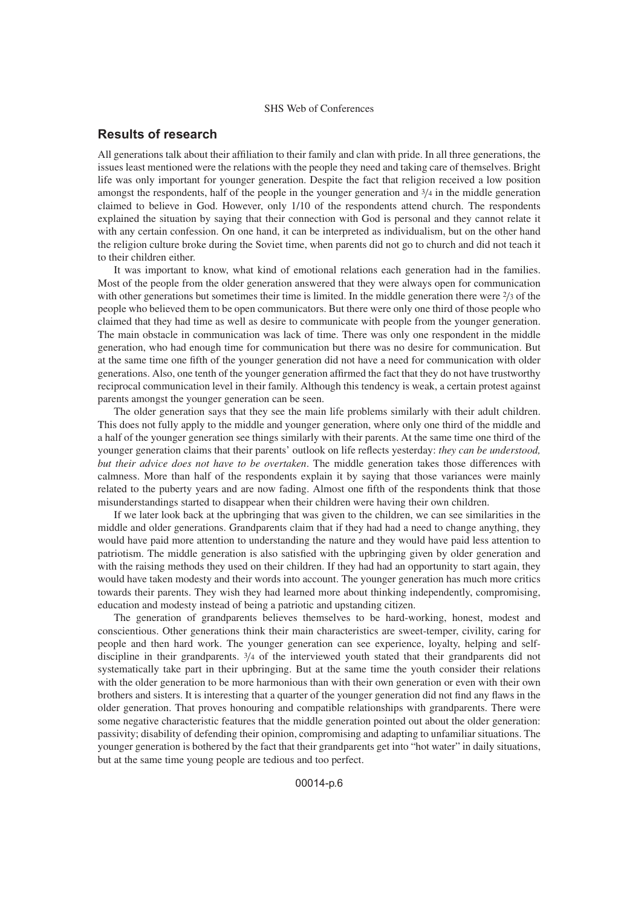# **Results of research**

All generations talk about their affiliation to their family and clan with pride. In all three generations, the issues least mentioned were the relations with the people they need and taking care of themselves. Bright life was only important for younger generation. Despite the fact that religion received a low position amongst the respondents, half of the people in the younger generation and  $\frac{3}{4}$  in the middle generation claimed to believe in God. However, only 1/10 of the respondents attend church. The respondents explained the situation by saying that their connection with God is personal and they cannot relate it with any certain confession. On one hand, it can be interpreted as individualism, but on the other hand the religion culture broke during the Soviet time, when parents did not go to church and did not teach it to their children either.

It was important to know, what kind of emotional relations each generation had in the families. Most of the people from the older generation answered that they were always open for communication with other generations but sometimes their time is limited. In the middle generation there were  $\frac{2}{3}$  of the people who believed them to be open communicators. But there were only one third of those people who claimed that they had time as well as desire to communicate with people from the younger generation. The main obstacle in communication was lack of time. There was only one respondent in the middle generation, who had enough time for communication but there was no desire for communication. But at the same time one fifth of the younger generation did not have a need for communication with older generations. Also, one tenth of the younger generation affirmed the fact that they do not have trustworthy reciprocal communication level in their family. Although this tendency is weak, a certain protest against parents amongst the younger generation can be seen.

The older generation says that they see the main life problems similarly with their adult children. This does not fully apply to the middle and younger generation, where only one third of the middle and a half of the younger generation see things similarly with their parents. At the same time one third of the younger generation claims that their parents' outlook on life reflects yesterday: *they can be understood, but their advice does not have to be overtaken*. The middle generation takes those differences with calmness. More than half of the respondents explain it by saying that those variances were mainly related to the puberty years and are now fading. Almost one fifth of the respondents think that those misunderstandings started to disappear when their children were having their own children.

If we later look back at the upbringing that was given to the children, we can see similarities in the middle and older generations. Grandparents claim that if they had had a need to change anything, they would have paid more attention to understanding the nature and they would have paid less attention to patriotism. The middle generation is also satisfied with the upbringing given by older generation and with the raising methods they used on their children. If they had had an opportunity to start again, they would have taken modesty and their words into account. The younger generation has much more critics towards their parents. They wish they had learned more about thinking independently, compromising, education and modesty instead of being a patriotic and upstanding citizen.

The generation of grandparents believes themselves to be hard-working, honest, modest and conscientious. Other generations think their main characteristics are sweet-temper, civility, caring for people and then hard work. The younger generation can see experience, loyalty, helping and selfdiscipline in their grandparents. <sup>3</sup>/<sup>4</sup> of the interviewed youth stated that their grandparents did not systematically take part in their upbringing. But at the same time the youth consider their relations with the older generation to be more harmonious than with their own generation or even with their own brothers and sisters. It is interesting that a quarter of the younger generation did not find any flaws in the older generation. That proves honouring and compatible relationships with grandparents. There were some negative characteristic features that the middle generation pointed out about the older generation: passivity; disability of defending their opinion, compromising and adapting to unfamiliar situations. The younger generation is bothered by the fact that their grandparents get into "hot water" in daily situations, but at the same time young people are tedious and too perfect.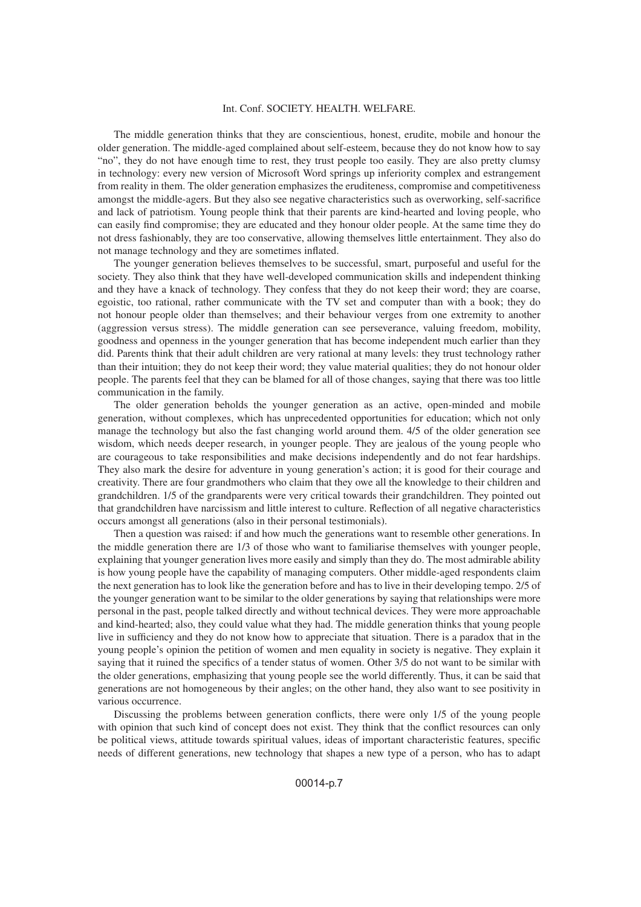The middle generation thinks that they are conscientious, honest, erudite, mobile and honour the older generation. The middle-aged complained about self-esteem, because they do not know how to say "no", they do not have enough time to rest, they trust people too easily. They are also pretty clumsy in technology: every new version of Microsoft Word springs up inferiority complex and estrangement from reality in them. The older generation emphasizes the eruditeness, compromise and competitiveness amongst the middle-agers. But they also see negative characteristics such as overworking, self-sacrifice and lack of patriotism. Young people think that their parents are kind-hearted and loving people, who can easily find compromise; they are educated and they honour older people. At the same time they do not dress fashionably, they are too conservative, allowing themselves little entertainment. They also do not manage technology and they are sometimes inflated.

The younger generation believes themselves to be successful, smart, purposeful and useful for the society. They also think that they have well-developed communication skills and independent thinking and they have a knack of technology. They confess that they do not keep their word; they are coarse, egoistic, too rational, rather communicate with the TV set and computer than with a book; they do not honour people older than themselves; and their behaviour verges from one extremity to another (aggression versus stress). The middle generation can see perseverance, valuing freedom, mobility, goodness and openness in the younger generation that has become independent much earlier than they did. Parents think that their adult children are very rational at many levels: they trust technology rather than their intuition; they do not keep their word; they value material qualities; they do not honour older people. The parents feel that they can be blamed for all of those changes, saying that there was too little communication in the family.

The older generation beholds the younger generation as an active, open-minded and mobile generation, without complexes, which has unprecedented opportunities for education; which not only manage the technology but also the fast changing world around them. 4/5 of the older generation see wisdom, which needs deeper research, in younger people. They are jealous of the young people who are courageous to take responsibilities and make decisions independently and do not fear hardships. They also mark the desire for adventure in young generation's action; it is good for their courage and creativity. There are four grandmothers who claim that they owe all the knowledge to their children and grandchildren. 1/5 of the grandparents were very critical towards their grandchildren. They pointed out that grandchildren have narcissism and little interest to culture. Reflection of all negative characteristics occurs amongst all generations (also in their personal testimonials).

Then a question was raised: if and how much the generations want to resemble other generations. In the middle generation there are 1/3 of those who want to familiarise themselves with younger people, explaining that younger generation lives more easily and simply than they do. The most admirable ability is how young people have the capability of managing computers. Other middle-aged respondents claim the next generation has to look like the generation before and has to live in their developing tempo. 2/5 of the younger generation want to be similar to the older generations by saying that relationships were more personal in the past, people talked directly and without technical devices. They were more approachable and kind-hearted; also, they could value what they had. The middle generation thinks that young people live in sufficiency and they do not know how to appreciate that situation. There is a paradox that in the young people's opinion the petition of women and men equality in society is negative. They explain it saying that it ruined the specifics of a tender status of women. Other 3/5 do not want to be similar with the older generations, emphasizing that young people see the world differently. Thus, it can be said that generations are not homogeneous by their angles; on the other hand, they also want to see positivity in various occurrence.

Discussing the problems between generation conflicts, there were only 1/5 of the young people with opinion that such kind of concept does not exist. They think that the conflict resources can only be political views, attitude towards spiritual values, ideas of important characteristic features, specific needs of different generations, new technology that shapes a new type of a person, who has to adapt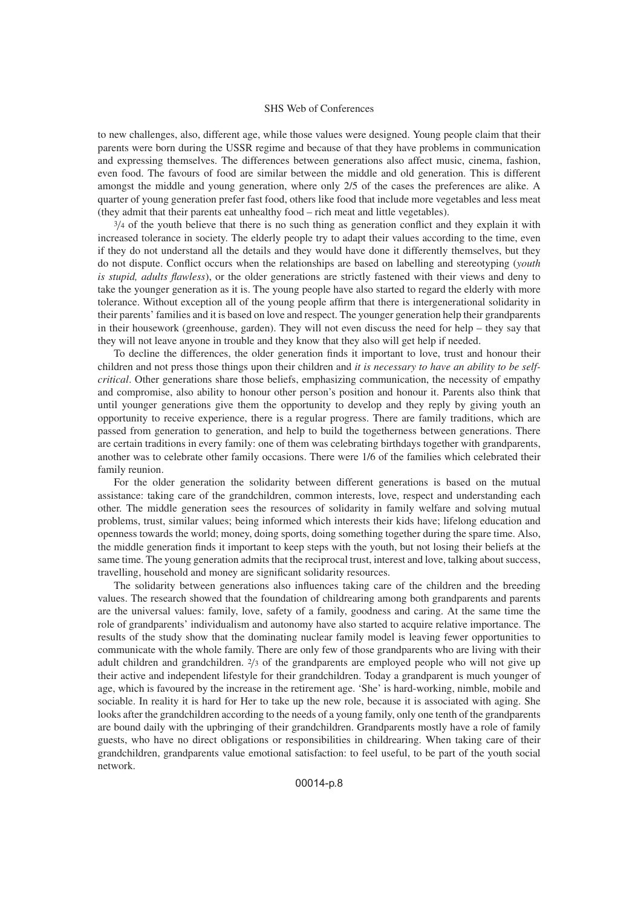to new challenges, also, different age, while those values were designed. Young people claim that their parents were born during the USSR regime and because of that they have problems in communication and expressing themselves. The differences between generations also affect music, cinema, fashion, even food. The favours of food are similar between the middle and old generation. This is different amongst the middle and young generation, where only 2/5 of the cases the preferences are alike. A quarter of young generation prefer fast food, others like food that include more vegetables and less meat (they admit that their parents eat unhealthy food – rich meat and little vegetables).

 $3/4$  of the youth believe that there is no such thing as generation conflict and they explain it with increased tolerance in society. The elderly people try to adapt their values according to the time, even if they do not understand all the details and they would have done it differently themselves, but they do not dispute. Conflict occurs when the relationships are based on labelling and stereotyping (*youth is stupid, adults flawless*), or the older generations are strictly fastened with their views and deny to take the younger generation as it is. The young people have also started to regard the elderly with more tolerance. Without exception all of the young people affirm that there is intergenerational solidarity in their parents' families and it is based on love and respect. The younger generation help their grandparents in their housework (greenhouse, garden). They will not even discuss the need for help – they say that they will not leave anyone in trouble and they know that they also will get help if needed.

To decline the differences, the older generation finds it important to love, trust and honour their children and not press those things upon their children and *it is necessary to have an ability to be selfcritical*. Other generations share those beliefs, emphasizing communication, the necessity of empathy and compromise, also ability to honour other person's position and honour it. Parents also think that until younger generations give them the opportunity to develop and they reply by giving youth an opportunity to receive experience, there is a regular progress. There are family traditions, which are passed from generation to generation, and help to build the togetherness between generations. There are certain traditions in every family: one of them was celebrating birthdays together with grandparents, another was to celebrate other family occasions. There were 1/6 of the families which celebrated their family reunion.

For the older generation the solidarity between different generations is based on the mutual assistance: taking care of the grandchildren, common interests, love, respect and understanding each other. The middle generation sees the resources of solidarity in family welfare and solving mutual problems, trust, similar values; being informed which interests their kids have; lifelong education and openness towards the world; money, doing sports, doing something together during the spare time. Also, the middle generation finds it important to keep steps with the youth, but not losing their beliefs at the same time. The young generation admits that the reciprocal trust, interest and love, talking about success, travelling, household and money are significant solidarity resources.

The solidarity between generations also influences taking care of the children and the breeding values. The research showed that the foundation of childrearing among both grandparents and parents are the universal values: family, love, safety of a family, goodness and caring. At the same time the role of grandparents' individualism and autonomy have also started to acquire relative importance. The results of the study show that the dominating nuclear family model is leaving fewer opportunities to communicate with the whole family. There are only few of those grandparents who are living with their adult children and grandchildren. <sup>2</sup>/<sup>3</sup> of the grandparents are employed people who will not give up their active and independent lifestyle for their grandchildren. Today a grandparent is much younger of age, which is favoured by the increase in the retirement age. 'She' is hard-working, nimble, mobile and sociable. In reality it is hard for Her to take up the new role, because it is associated with aging. She looks after the grandchildren according to the needs of a young family, only one tenth of the grandparents are bound daily with the upbringing of their grandchildren. Grandparents mostly have a role of family guests, who have no direct obligations or responsibilities in childrearing. When taking care of their grandchildren, grandparents value emotional satisfaction: to feel useful, to be part of the youth social network.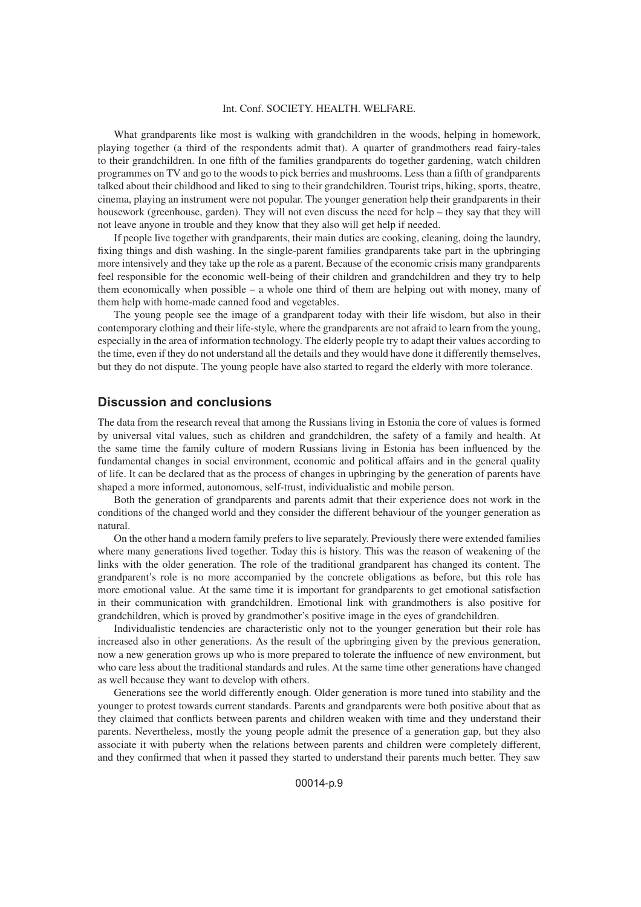What grandparents like most is walking with grandchildren in the woods, helping in homework, playing together (a third of the respondents admit that). A quarter of grandmothers read fairy-tales to their grandchildren. In one fifth of the families grandparents do together gardening, watch children programmes on TV and go to the woods to pick berries and mushrooms. Less than a fifth of grandparents talked about their childhood and liked to sing to their grandchildren. Tourist trips, hiking, sports, theatre, cinema, playing an instrument were not popular. The younger generation help their grandparents in their housework (greenhouse, garden). They will not even discuss the need for help – they say that they will not leave anyone in trouble and they know that they also will get help if needed.

If people live together with grandparents, their main duties are cooking, cleaning, doing the laundry, fixing things and dish washing. In the single-parent families grandparents take part in the upbringing more intensively and they take up the role as a parent. Because of the economic crisis many grandparents feel responsible for the economic well-being of their children and grandchildren and they try to help them economically when possible – a whole one third of them are helping out with money, many of them help with home-made canned food and vegetables.

The young people see the image of a grandparent today with their life wisdom, but also in their contemporary clothing and their life-style, where the grandparents are not afraid to learn from the young, especially in the area of information technology. The elderly people try to adapt their values according to the time, even if they do not understand all the details and they would have done it differently themselves, but they do not dispute. The young people have also started to regard the elderly with more tolerance.

# **Discussion and conclusions**

The data from the research reveal that among the Russians living in Estonia the core of values is formed by universal vital values, such as children and grandchildren, the safety of a family and health. At the same time the family culture of modern Russians living in Estonia has been influenced by the fundamental changes in social environment, economic and political affairs and in the general quality of life. It can be declared that as the process of changes in upbringing by the generation of parents have shaped a more informed, autonomous, self-trust, individualistic and mobile person.

Both the generation of grandparents and parents admit that their experience does not work in the conditions of the changed world and they consider the different behaviour of the younger generation as natural.

On the other hand a modern family prefers to live separately. Previously there were extended families where many generations lived together. Today this is history. This was the reason of weakening of the links with the older generation. The role of the traditional grandparent has changed its content. The grandparent's role is no more accompanied by the concrete obligations as before, but this role has more emotional value. At the same time it is important for grandparents to get emotional satisfaction in their communication with grandchildren. Emotional link with grandmothers is also positive for grandchildren, which is proved by grandmother's positive image in the eyes of grandchildren.

Individualistic tendencies are characteristic only not to the younger generation but their role has increased also in other generations. As the result of the upbringing given by the previous generation, now a new generation grows up who is more prepared to tolerate the influence of new environment, but who care less about the traditional standards and rules. At the same time other generations have changed as well because they want to develop with others.

Generations see the world differently enough. Older generation is more tuned into stability and the younger to protest towards current standards. Parents and grandparents were both positive about that as they claimed that conflicts between parents and children weaken with time and they understand their parents. Nevertheless, mostly the young people admit the presence of a generation gap, but they also associate it with puberty when the relations between parents and children were completely different, and they confirmed that when it passed they started to understand their parents much better. They saw